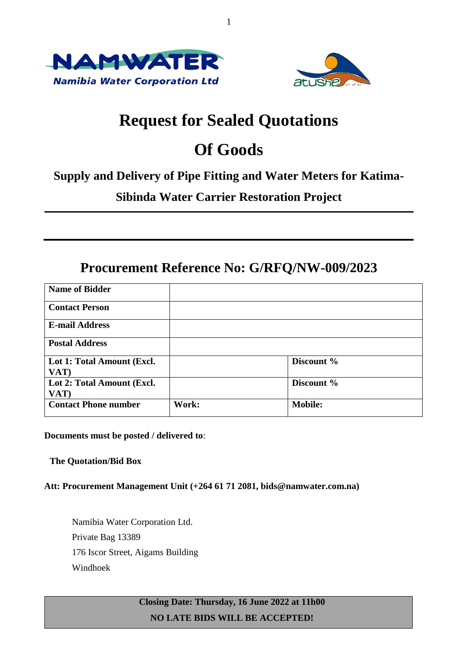



# **Request for Sealed Quotations**

1

# **Of Goods**

## **Supply and Delivery of Pipe Fitting and Water Meters for Katima-**

# **Sibinda Water Carrier Restoration Project**

# **Procurement Reference No: G/RFQ/NW-009/2023**

| <b>Name of Bidder</b>              |       |                |
|------------------------------------|-------|----------------|
| <b>Contact Person</b>              |       |                |
| <b>E-mail Address</b>              |       |                |
| <b>Postal Address</b>              |       |                |
| Lot 1: Total Amount (Excl.<br>VAT) |       | Discount %     |
| Lot 2: Total Amount (Excl.<br>VAT) |       | Discount %     |
| <b>Contact Phone number</b>        | Work: | <b>Mobile:</b> |

## **Documents must be posted / delivered to**:

## **The Quotation/Bid Box**

## **Att: Procurement Management Unit (+264 61 71 2081, bids@namwater.com.na)**

Namibia Water Corporation Ltd. Private Bag 13389 176 Iscor Street, Aigams Building Windhoek

> **Closing Date: Thursday, 16 June 2022 at 11h00 NO LATE BIDS WILL BE ACCEPTED!**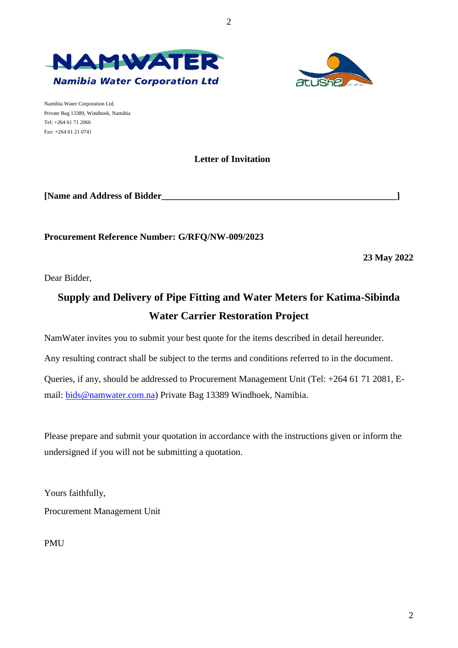



Namibia Water Corporation Ltd. Private Bag 13389, Windhoek, Namibia Tel: +264 61 71 2066 Fax: +264 61 21 0741

## **Letter of Invitation**

**[Name and Address of Bidder\_\_\_\_\_\_\_\_\_\_\_\_\_\_\_\_\_\_\_\_\_\_\_\_\_\_\_\_\_\_\_\_\_\_\_\_\_\_\_\_\_\_\_\_\_\_\_\_\_\_\_]**

**Procurement Reference Number: G/RFQ/NW-009/2023**

**23 May 2022**

2

Dear Bidder,

# **Supply and Delivery of Pipe Fitting and Water Meters for Katima-Sibinda Water Carrier Restoration Project**

NamWater invites you to submit your best quote for the items described in detail hereunder.

Any resulting contract shall be subject to the terms and conditions referred to in the document.

Queries, if any, should be addressed to Procurement Management Unit (Tel: +264 61 71 2081, Email: [bids@namwater.com.na\)](mailto:bids@namwater.com.na) Private Bag 13389 Windhoek, Namibia.

Please prepare and submit your quotation in accordance with the instructions given or inform the undersigned if you will not be submitting a quotation.

Yours faithfully, Procurement Management Unit

PMU

2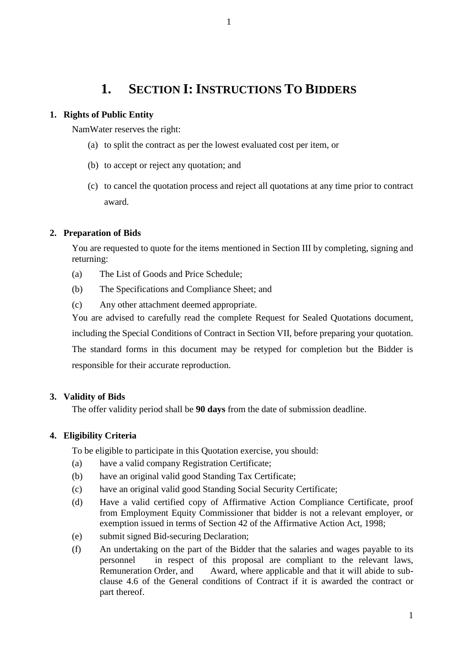# **1. SECTION I: INSTRUCTIONS TO BIDDERS**

## **1. Rights of Public Entity**

NamWater reserves the right:

- (a) to split the contract as per the lowest evaluated cost per item, or
- (b) to accept or reject any quotation; and
- (c) to cancel the quotation process and reject all quotations at any time prior to contract award.

## **2. Preparation of Bids**

You are requested to quote for the items mentioned in Section III by completing, signing and returning:

- (a) The List of Goods and Price Schedule;
- (b) The Specifications and Compliance Sheet; and
- (c) Any other attachment deemed appropriate.

You are advised to carefully read the complete Request for Sealed Quotations document,

including the Special Conditions of Contract in Section VII, before preparing your quotation.

The standard forms in this document may be retyped for completion but the Bidder is responsible for their accurate reproduction.

## **3. Validity of Bids**

The offer validity period shall be **90 days** from the date of submission deadline.

## **4. Eligibility Criteria**

To be eligible to participate in this Quotation exercise, you should:

- (a) have a valid company Registration Certificate;
- (b) have an original valid good Standing Tax Certificate;
- (c) have an original valid good Standing Social Security Certificate;
- (d) Have a valid certified copy of Affirmative Action Compliance Certificate, proof from Employment Equity Commissioner that bidder is not a relevant employer, or exemption issued in terms of Section 42 of the Affirmative Action Act, 1998;
- (e) submit signed Bid-securing Declaration;
- (f) An undertaking on the part of the Bidder that the salaries and wages payable to its personnel in respect of this proposal are compliant to the relevant laws, Remuneration Order, and Award, where applicable and that it will abide to subclause 4.6 of the General conditions of Contract if it is awarded the contract or part thereof.

1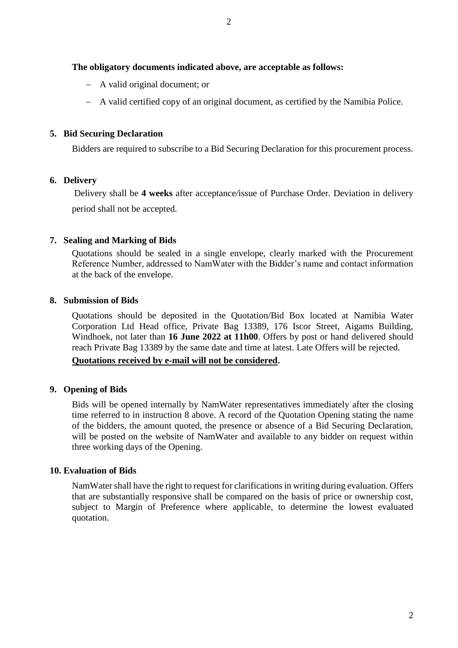## **The obligatory documents indicated above, are acceptable as follows:**

- A valid original document; or
- A valid certified copy of an original document, as certified by the Namibia Police.

### **5. Bid Securing Declaration**

Bidders are required to subscribe to a Bid Securing Declaration for this procurement process.

## **6. Delivery**

Delivery shall be **4 weeks** after acceptance*/*issue of Purchase Order. Deviation in delivery period shall not be accepted.

## **7. Sealing and Marking of Bids**

Quotations should be sealed in a single envelope, clearly marked with the Procurement Reference Number, addressed to NamWater with the Bidder's name and contact information at the back of the envelope.

## **8. Submission of Bids**

Quotations should be deposited in the Quotation/Bid Box located at Namibia Water Corporation Ltd Head office, Private Bag 13389, 176 Iscor Street, Aigams Building, Windhoek, not later than **16 June 2022 at 11h00**. Offers by post or hand delivered should reach Private Bag 13389 by the same date and time at latest. Late Offers will be rejected.

## **Quotations received by e-mail will not be considered.**

#### **9. Opening of Bids**

Bids will be opened internally by NamWater representatives immediately after the closing time referred to in instruction 8 above. A record of the Quotation Opening stating the name of the bidders, the amount quoted, the presence or absence of a Bid Securing Declaration, will be posted on the website of NamWater and available to any bidder on request within three working days of the Opening.

### **10. Evaluation of Bids**

NamWater shall have the right to request for clarifications in writing during evaluation. Offers that are substantially responsive shall be compared on the basis of price or ownership cost, subject to Margin of Preference where applicable, to determine the lowest evaluated quotation.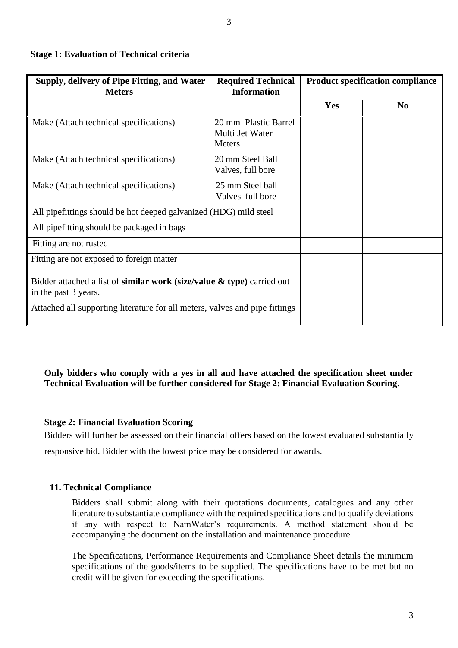| Supply, delivery of Pipe Fitting, and Water<br><b>Meters</b>                                      | <b>Required Technical</b><br><b>Information</b>          |            | <b>Product specification compliance</b> |
|---------------------------------------------------------------------------------------------------|----------------------------------------------------------|------------|-----------------------------------------|
|                                                                                                   |                                                          | <b>Yes</b> | N <sub>0</sub>                          |
| Make (Attach technical specifications)                                                            | 20 mm Plastic Barrel<br>Multi Jet Water<br><b>Meters</b> |            |                                         |
| Make (Attach technical specifications)                                                            | 20 mm Steel Ball<br>Valves, full bore                    |            |                                         |
| Make (Attach technical specifications)                                                            | 25 mm Steel ball<br>Valves full bore                     |            |                                         |
| All pipefittings should be hot deeped galvanized (HDG) mild steel                                 |                                                          |            |                                         |
| All pipefitting should be packaged in bags                                                        |                                                          |            |                                         |
| Fitting are not rusted                                                                            |                                                          |            |                                         |
| Fitting are not exposed to foreign matter                                                         |                                                          |            |                                         |
| Bidder attached a list of similar work (size/value $\&$ type) carried out<br>in the past 3 years. |                                                          |            |                                         |
| Attached all supporting literature for all meters, valves and pipe fittings                       |                                                          |            |                                         |

## **Stage 1: Evaluation of Technical criteria**

**Only bidders who comply with a yes in all and have attached the specification sheet under Technical Evaluation will be further considered for Stage 2: Financial Evaluation Scoring.**

## **Stage 2: Financial Evaluation Scoring**

Bidders will further be assessed on their financial offers based on the lowest evaluated substantially

responsive bid. Bidder with the lowest price may be considered for awards.

## **11. Technical Compliance**

Bidders shall submit along with their quotations documents, catalogues and any other literature to substantiate compliance with the required specifications and to qualify deviations if any with respect to NamWater's requirements. A method statement should be accompanying the document on the installation and maintenance procedure.

The Specifications, Performance Requirements and Compliance Sheet details the minimum specifications of the goods/items to be supplied. The specifications have to be met but no credit will be given for exceeding the specifications.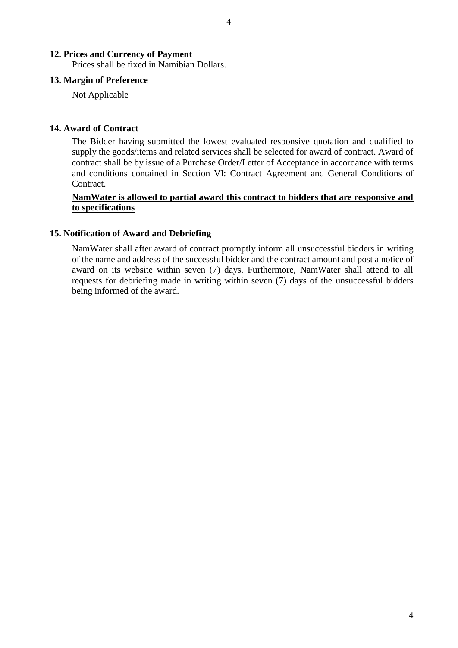## **12. Prices and Currency of Payment**

Prices shall be fixed in Namibian Dollars.

#### **13. Margin of Preference**

Not Applicable

#### **14. Award of Contract**

The Bidder having submitted the lowest evaluated responsive quotation and qualified to supply the goods/items and related services shall be selected for award of contract. Award of contract shall be by issue of a Purchase Order/Letter of Acceptance in accordance with terms and conditions contained in Section VI: Contract Agreement and General Conditions of Contract.

4

### **NamWater is allowed to partial award this contract to bidders that are responsive and to specifications**

#### **15. Notification of Award and Debriefing**

NamWater shall after award of contract promptly inform all unsuccessful bidders in writing of the name and address of the successful bidder and the contract amount and post a notice of award on its website within seven (7) days. Furthermore, NamWater shall attend to all requests for debriefing made in writing within seven (7) days of the unsuccessful bidders being informed of the award.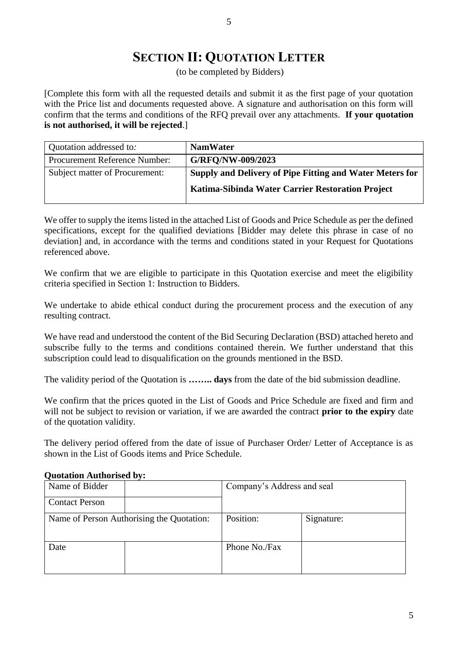# **SECTION II: QUOTATION LETTER**

(to be completed by Bidders)

[Complete this form with all the requested details and submit it as the first page of your quotation with the Price list and documents requested above. A signature and authorisation on this form will confirm that the terms and conditions of the RFQ prevail over any attachments. **If your quotation is not authorised, it will be rejected**.]

| Quotation addressed to:              | <b>NamWater</b>                                          |
|--------------------------------------|----------------------------------------------------------|
| <b>Procurement Reference Number:</b> | G/RFQ/NW-009/2023                                        |
| Subject matter of Procurement:       | Supply and Delivery of Pipe Fitting and Water Meters for |
|                                      | Katima-Sibinda Water Carrier Restoration Project         |

We offer to supply the items listed in the attached List of Goods and Price Schedule as per the defined specifications, except for the qualified deviations [Bidder may delete this phrase in case of no deviation] and, in accordance with the terms and conditions stated in your Request for Quotations referenced above.

We confirm that we are eligible to participate in this Quotation exercise and meet the eligibility criteria specified in Section 1: Instruction to Bidders.

We undertake to abide ethical conduct during the procurement process and the execution of any resulting contract.

We have read and understood the content of the Bid Securing Declaration (BSD) attached hereto and subscribe fully to the terms and conditions contained therein. We further understand that this subscription could lead to disqualification on the grounds mentioned in the BSD.

The validity period of the Quotation is **…….. days** from the date of the bid submission deadline.

We confirm that the prices quoted in the List of Goods and Price Schedule are fixed and firm and will not be subject to revision or variation, if we are awarded the contract **prior to the expiry** date of the quotation validity.

The delivery period offered from the date of issue of Purchaser Order/ Letter of Acceptance is as shown in the List of Goods items and Price Schedule.

| Name of Bidder                            |  | Company's Address and seal |            |
|-------------------------------------------|--|----------------------------|------------|
| <b>Contact Person</b>                     |  |                            |            |
| Name of Person Authorising the Quotation: |  | Position:                  | Signature: |
| Date                                      |  | Phone No./Fax              |            |

#### **Quotation Authorised by:**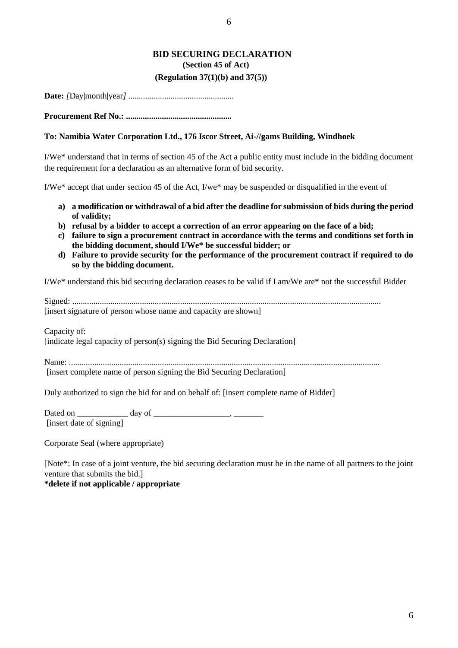#### **BID SECURING DECLARATION (Section 45 of Act)**

#### **(Regulation 37(1)(b) and 37(5))**

**Date:** *[*Day|month|year*] ..................................................*

**Procurement Ref No.: ..................................................**

#### **To: Namibia Water Corporation Ltd., 176 Iscor Street, Ai-//gams Building, Windhoek**

I/We\* understand that in terms of section 45 of the Act a public entity must include in the bidding document the requirement for a declaration as an alternative form of bid security.

I/We\* accept that under section 45 of the Act, I/we\* may be suspended or disqualified in the event of

- **a) a modification or withdrawal of a bid after the deadline for submission of bids during the period of validity;**
- **b) refusal by a bidder to accept a correction of an error appearing on the face of a bid;**
- **c) failure to sign a procurement contract in accordance with the terms and conditions set forth in the bidding document, should I/We\* be successful bidder; or**
- **d) Failure to provide security for the performance of the procurement contract if required to do so by the bidding document.**

I/We\* understand this bid securing declaration ceases to be valid if I am/We are\* not the successful Bidder

Signed: .................................................................................................................................................. [insert signature of person whose name and capacity are shown]

Capacity of:

[indicate legal capacity of person(s) signing the Bid Securing Declaration]

Name: ................................................................................................................................................... [insert complete name of person signing the Bid Securing Declaration]

Duly authorized to sign the bid for and on behalf of: [insert complete name of Bidder]

Dated on \_\_\_\_\_\_\_\_\_\_\_\_ day of \_\_\_\_\_\_\_\_\_\_\_\_\_\_\_\_\_\_, \_\_\_\_\_\_\_ [insert date of signing]

Corporate Seal (where appropriate)

[Note\*: In case of a joint venture, the bid securing declaration must be in the name of all partners to the joint venture that submits the bid.] **\*delete if not applicable / appropriate**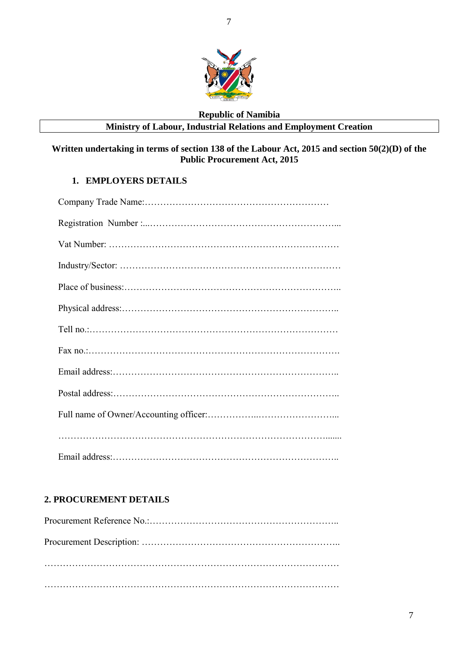

## **Republic of Namibia Ministry of Labour, Industrial Relations and Employment Creation**

## **Written undertaking in terms of section 138 of the Labour Act, 2015 and section 50(2)(D) of the Public Procurement Act, 2015**

## **1. EMPLOYERS DETAILS**

## **2. PROCUREMENT DETAILS**

7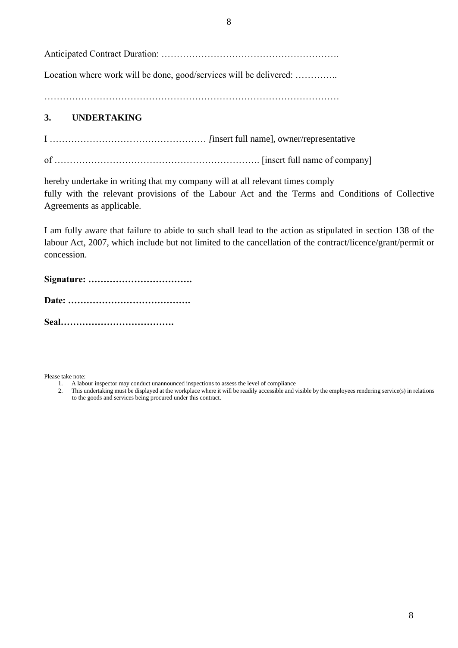Anticipated Contract Duration: ………………………………………………….

Location where work will be done, good/services will be delivered: ..............

……………………………………………………………………………………

## **3. UNDERTAKING**

I …………………………………………… *[*insert full name], owner/representative

of …………………………………………………………. [insert full name of company]

hereby undertake in writing that my company will at all relevant times comply fully with the relevant provisions of the Labour Act and the Terms and Conditions of Collective Agreements as applicable.

I am fully aware that failure to abide to such shall lead to the action as stipulated in section 138 of the labour Act, 2007, which include but not limited to the cancellation of the contract/licence/grant/permit or concession.

**Signature: …………………………….**

**Date: ………………………………….**

**Seal……………………………….**

Please take note:

- 1. A labour inspector may conduct unannounced inspections to assess the level of compliance
- 2. This undertaking must be displayed at the workplace where it will be readily accessible and visible by the employees rendering service(s) in relations to the goods and services being procured under this contract.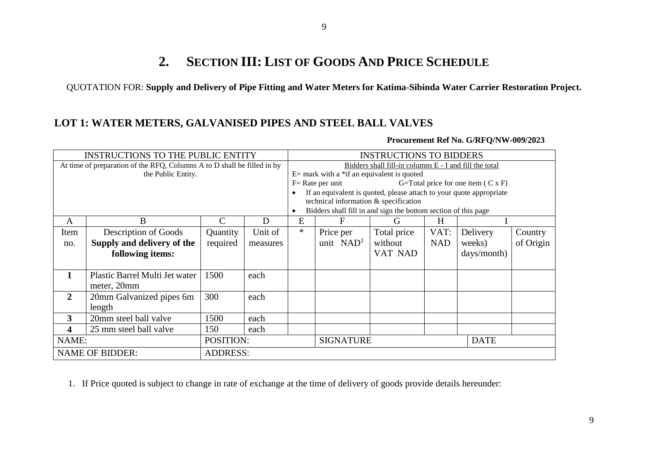# **2. SECTION III: LIST OF GOODS AND PRICE SCHEDULE**

QUOTATION FOR: **Supply and Delivery of Pipe Fitting and Water Meters for Katima-Sibinda Water Carrier Restoration Project.** 

## **LOT 1: WATER METERS, GALVANISED PIPES AND STEEL BALL VALVES**

| <b>INSTRUCTIONS TO THE PUBLIC ENTITY</b>                                |                                |                 | <b>INSTRUCTIONS TO BIDDERS</b>                         |        |                                       |                                                                     |            |                                           |           |
|-------------------------------------------------------------------------|--------------------------------|-----------------|--------------------------------------------------------|--------|---------------------------------------|---------------------------------------------------------------------|------------|-------------------------------------------|-----------|
| At time of preparation of the RFQ, Columns A to D shall be filled in by |                                |                 | Bidders shall fill-in columns E - I and fill the total |        |                                       |                                                                     |            |                                           |           |
|                                                                         | the Public Entity.             |                 |                                                        |        |                                       | $E=$ mark with a *if an equivalent is quoted                        |            |                                           |           |
|                                                                         |                                |                 |                                                        |        | $F = Rate per unit$                   |                                                                     |            | G=Total price for one item $(C \times F)$ |           |
|                                                                         |                                |                 |                                                        |        |                                       | If an equivalent is quoted, please attach to your quote appropriate |            |                                           |           |
|                                                                         |                                |                 |                                                        |        | technical information & specification |                                                                     |            |                                           |           |
|                                                                         |                                |                 |                                                        |        |                                       | Bidders shall fill in and sign the bottom section of this page      |            |                                           |           |
| A                                                                       | B                              |                 | D                                                      | E      | F                                     | G                                                                   | H          |                                           |           |
| Item                                                                    | Description of Goods           | Quantity        | Unit of                                                | $\ast$ | Price per                             | Total price                                                         | VAT:       | Delivery                                  | Country   |
| no.                                                                     | Supply and delivery of the     | required        | measures                                               |        | unit NAD <sup>1</sup>                 | without                                                             | <b>NAD</b> | weeks)                                    | of Origin |
|                                                                         | following items:               |                 |                                                        |        |                                       | VAT NAD                                                             |            | days/month)                               |           |
|                                                                         |                                |                 |                                                        |        |                                       |                                                                     |            |                                           |           |
| 1                                                                       | Plastic Barrel Multi Jet water | 1500            | each                                                   |        |                                       |                                                                     |            |                                           |           |
|                                                                         | meter, 20mm                    |                 |                                                        |        |                                       |                                                                     |            |                                           |           |
| $\overline{2}$                                                          | 20mm Galvanized pipes 6m       | 300             | each                                                   |        |                                       |                                                                     |            |                                           |           |
|                                                                         | length                         |                 |                                                        |        |                                       |                                                                     |            |                                           |           |
| $\overline{3}$                                                          | 20mm steel ball valve          | 1500            | each                                                   |        |                                       |                                                                     |            |                                           |           |
| 4                                                                       | 25 mm steel ball valve         | 150             | each                                                   |        |                                       |                                                                     |            |                                           |           |
| NAME:<br>POSITION:                                                      |                                |                 | <b>SIGNATURE</b><br><b>DATE</b>                        |        |                                       |                                                                     |            |                                           |           |
|                                                                         | <b>NAME OF BIDDER:</b>         | <b>ADDRESS:</b> |                                                        |        |                                       |                                                                     |            |                                           |           |

**Procurement Ref No. G/RFQ/NW-009/2023**

1. If Price quoted is subject to change in rate of exchange at the time of delivery of goods provide details hereunder: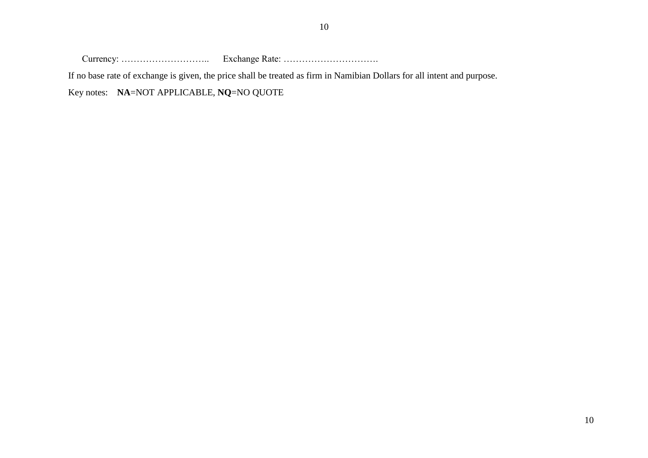Currency: ……………………….. Exchange Rate: ………………………….

If no base rate of exchange is given, the price shall be treated as firm in Namibian Dollars for all intent and purpose.

Key notes: **NA**=NOT APPLICABLE, **NQ**=NO QUOTE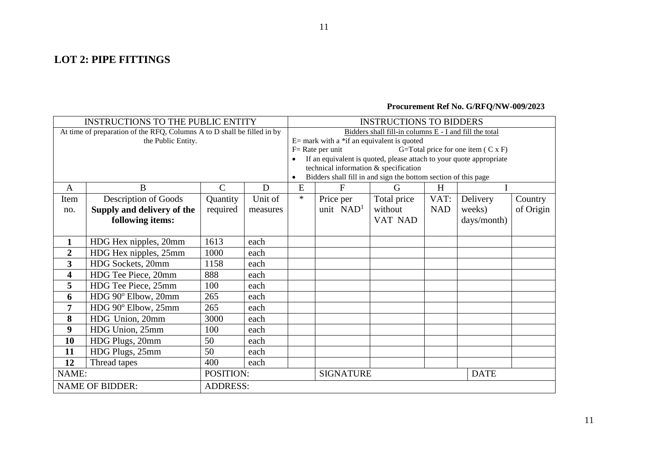## **LOT 2: PIPE FITTINGS**

## **Procurement Ref No. G/RFQ/NW-009/2023**

| <b>INSTRUCTIONS TO THE PUBLIC ENTITY</b> |                                                                         |                 | <b>INSTRUCTIONS TO BIDDERS</b> |                                                        |                                                                                                         |             |            |                                    |           |
|------------------------------------------|-------------------------------------------------------------------------|-----------------|--------------------------------|--------------------------------------------------------|---------------------------------------------------------------------------------------------------------|-------------|------------|------------------------------------|-----------|
|                                          | At time of preparation of the RFQ, Columns A to D shall be filled in by |                 |                                | Bidders shall fill-in columns E - I and fill the total |                                                                                                         |             |            |                                    |           |
|                                          | the Public Entity.                                                      |                 |                                |                                                        | $E=$ mark with a *if an equivalent is quoted                                                            |             |            |                                    |           |
|                                          |                                                                         |                 |                                |                                                        | $F = Rate$ per unit                                                                                     |             |            | G=Total price for one item (C x F) |           |
|                                          |                                                                         |                 |                                |                                                        | If an equivalent is quoted, please attach to your quote appropriate                                     |             |            |                                    |           |
|                                          |                                                                         |                 |                                |                                                        | technical information & specification<br>Bidders shall fill in and sign the bottom section of this page |             |            |                                    |           |
| A                                        | B                                                                       | $\mathcal{C}$   | D                              | E                                                      | $\mathbf{F}$                                                                                            | G           | H          |                                    |           |
|                                          |                                                                         |                 |                                | $\ast$                                                 |                                                                                                         |             |            |                                    |           |
| Item                                     | Description of Goods                                                    | Quantity        | Unit of                        |                                                        | Price per                                                                                               | Total price | VAT:       | Delivery                           | Country   |
| no.                                      | Supply and delivery of the                                              | required        | measures                       |                                                        | unit $NAD1$                                                                                             | without     | <b>NAD</b> | weeks)                             | of Origin |
|                                          | following items:                                                        |                 |                                |                                                        |                                                                                                         | VAT NAD     |            | days/month)                        |           |
|                                          |                                                                         |                 |                                |                                                        |                                                                                                         |             |            |                                    |           |
| 1                                        | HDG Hex nipples, 20mm                                                   | 1613            | each                           |                                                        |                                                                                                         |             |            |                                    |           |
| $\overline{2}$                           | HDG Hex nipples, 25mm                                                   | 1000            | each                           |                                                        |                                                                                                         |             |            |                                    |           |
| 3                                        | HDG Sockets, 20mm                                                       | 1158            | each                           |                                                        |                                                                                                         |             |            |                                    |           |
| 4                                        | HDG Tee Piece, 20mm                                                     | 888             | each                           |                                                        |                                                                                                         |             |            |                                    |           |
| 5                                        | HDG Tee Piece, 25mm                                                     | 100             | each                           |                                                        |                                                                                                         |             |            |                                    |           |
| 6                                        | HDG 90° Elbow, 20mm                                                     | 265             | each                           |                                                        |                                                                                                         |             |            |                                    |           |
| 7                                        | HDG 90° Elbow, 25mm                                                     | 265             | each                           |                                                        |                                                                                                         |             |            |                                    |           |
| 8                                        | HDG Union, 20mm                                                         | 3000            | each                           |                                                        |                                                                                                         |             |            |                                    |           |
| 9                                        | HDG Union, 25mm                                                         | 100             | each                           |                                                        |                                                                                                         |             |            |                                    |           |
| 10                                       | HDG Plugs, 20mm                                                         | 50              | each                           |                                                        |                                                                                                         |             |            |                                    |           |
| 11                                       | HDG Plugs, 25mm                                                         | 50              | each                           |                                                        |                                                                                                         |             |            |                                    |           |
| 12                                       | Thread tapes                                                            | 400             | each                           |                                                        |                                                                                                         |             |            |                                    |           |
| NAME:                                    |                                                                         | POSITION:       |                                |                                                        | <b>SIGNATURE</b>                                                                                        |             |            | <b>DATE</b>                        |           |
|                                          | <b>NAME OF BIDDER:</b>                                                  | <b>ADDRESS:</b> |                                |                                                        |                                                                                                         |             |            |                                    |           |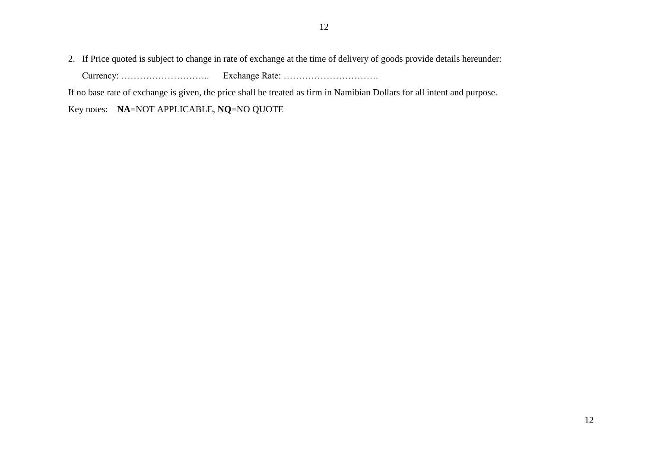2. If Price quoted is subject to change in rate of exchange at the time of delivery of goods provide details hereunder:

Currency: ……………………….. Exchange Rate: ………………………….

If no base rate of exchange is given, the price shall be treated as firm in Namibian Dollars for all intent and purpose.

Key notes: **NA**=NOT APPLICABLE, **NQ**=NO QUOTE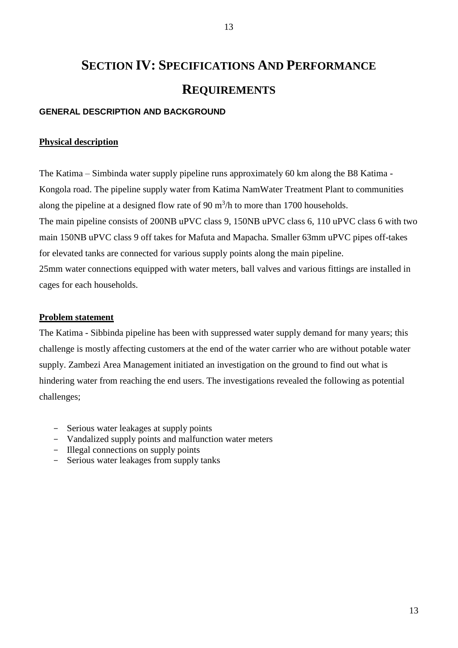# **SECTION IV: SPECIFICATIONS AND PERFORMANCE REQUIREMENTS**

## **GENERAL DESCRIPTION AND BACKGROUND**

#### **Physical description**

The Katima – Simbinda water supply pipeline runs approximately 60 km along the B8 Katima - Kongola road. The pipeline supply water from Katima NamWater Treatment Plant to communities along the pipeline at a designed flow rate of 90  $m^3/h$  to more than 1700 households. The main pipeline consists of 200NB uPVC class 9, 150NB uPVC class 6, 110 uPVC class 6 with two main 150NB uPVC class 9 off takes for Mafuta and Mapacha. Smaller 63mm uPVC pipes off-takes for elevated tanks are connected for various supply points along the main pipeline. 25mm water connections equipped with water meters, ball valves and various fittings are installed in cages for each households.

#### **Problem statement**

The Katima - Sibbinda pipeline has been with suppressed water supply demand for many years; this challenge is mostly affecting customers at the end of the water carrier who are without potable water supply. Zambezi Area Management initiated an investigation on the ground to find out what is hindering water from reaching the end users. The investigations revealed the following as potential challenges;

- Serious water leakages at supply points
- Vandalized supply points and malfunction water meters
- Illegal connections on supply points
- Serious water leakages from supply tanks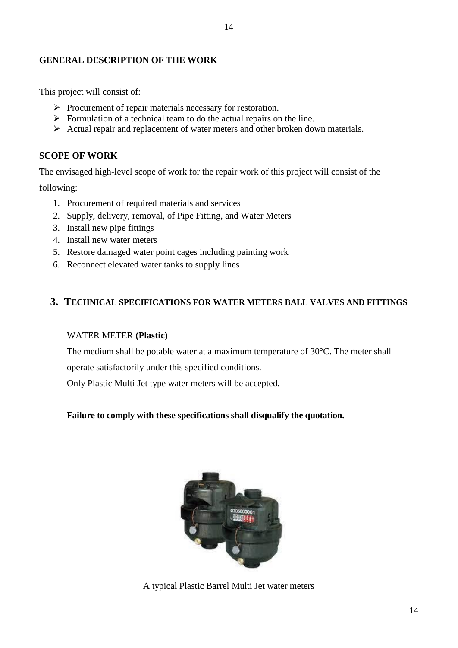## **GENERAL DESCRIPTION OF THE WORK**

This project will consist of:

- $\triangleright$  Procurement of repair materials necessary for restoration.
- $\triangleright$  Formulation of a technical team to do the actual repairs on the line.
- $\triangleright$  Actual repair and replacement of water meters and other broken down materials.

## **SCOPE OF WORK**

The envisaged high-level scope of work for the repair work of this project will consist of the

following:

- 1. Procurement of required materials and services
- 2. Supply, delivery, removal, of Pipe Fitting, and Water Meters
- 3. Install new pipe fittings
- 4. Install new water meters
- 5. Restore damaged water point cages including painting work
- 6. Reconnect elevated water tanks to supply lines

## **3. TECHNICAL SPECIFICATIONS FOR WATER METERS BALL VALVES AND FITTINGS**

#### WATER METER **(Plastic)**

The medium shall be potable water at a maximum temperature of 30°C. The meter shall

operate satisfactorily under this specified conditions.

Only Plastic Multi Jet type water meters will be accepted.

## **Failure to comply with these specifications shall disqualify the quotation.**



A typical Plastic Barrel Multi Jet water meters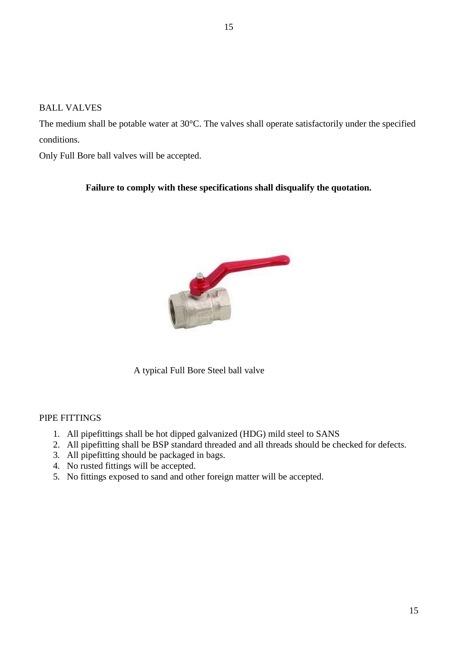The medium shall be potable water at 30°C. The valves shall operate satisfactorily under the specified conditions.

Only Full Bore ball valves will be accepted.

## **Failure to comply with these specifications shall disqualify the quotation.**



A typical Full Bore Steel ball valve

## PIPE FITTINGS

- 1. All pipefittings shall be hot dipped galvanized (HDG) mild steel to SANS
- 2. All pipefitting shall be BSP standard threaded and all threads should be checked for defects.
- 3. All pipefitting should be packaged in bags.
- 4. No rusted fittings will be accepted.
- 5. No fittings exposed to sand and other foreign matter will be accepted.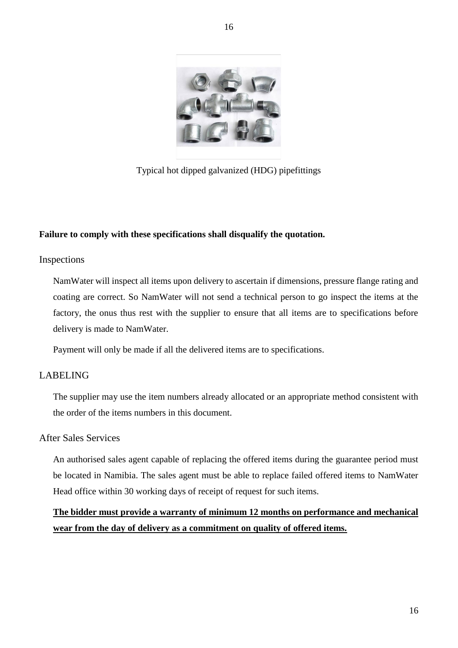

Typical hot dipped galvanized (HDG) pipefittings

## **Failure to comply with these specifications shall disqualify the quotation.**

#### Inspections

NamWater will inspect all items upon delivery to ascertain if dimensions, pressure flange rating and coating are correct. So NamWater will not send a technical person to go inspect the items at the factory, the onus thus rest with the supplier to ensure that all items are to specifications before delivery is made to NamWater.

Payment will only be made if all the delivered items are to specifications.

## LABELING

The supplier may use the item numbers already allocated or an appropriate method consistent with the order of the items numbers in this document.

## After Sales Services

An authorised sales agent capable of replacing the offered items during the guarantee period must be located in Namibia. The sales agent must be able to replace failed offered items to NamWater Head office within 30 working days of receipt of request for such items.

## **The bidder must provide a warranty of minimum 12 months on performance and mechanical wear from the day of delivery as a commitment on quality of offered items.**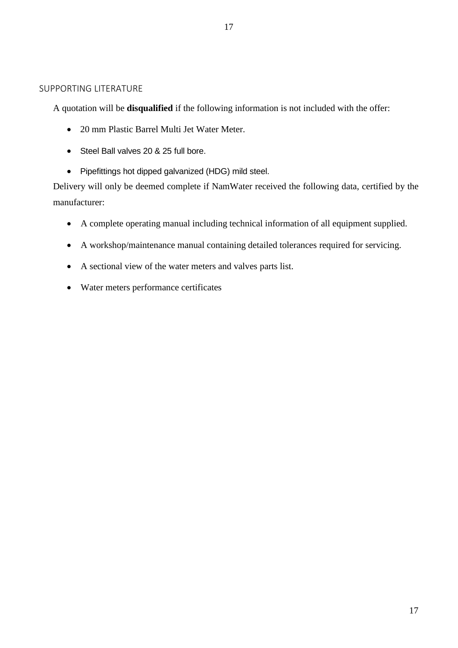A quotation will be **disqualified** if the following information is not included with the offer:

- 20 mm Plastic Barrel Multi Jet Water Meter.
- Steel Ball valves 20 & 25 full bore.
- Pipefittings hot dipped galvanized (HDG) mild steel.

Delivery will only be deemed complete if NamWater received the following data, certified by the manufacturer:

- A complete operating manual including technical information of all equipment supplied.
- A workshop/maintenance manual containing detailed tolerances required for servicing.
- A sectional view of the water meters and valves parts list.
- Water meters performance certificates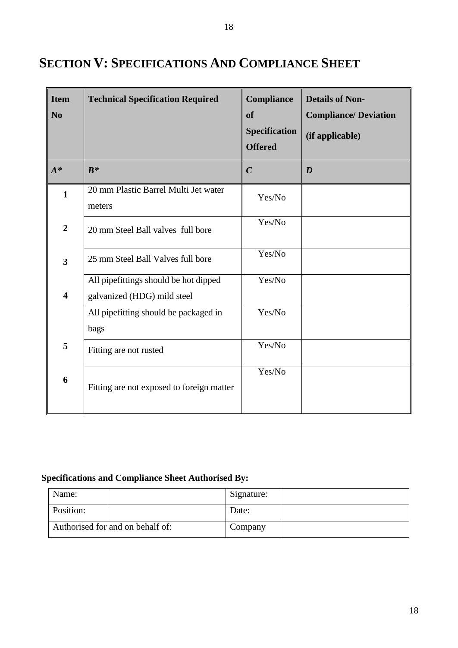| <b>Item</b><br>N <sub>0</sub> | <b>Technical Specification Required</b>                              | Compliance<br><b>of</b><br><b>Specification</b><br><b>Offered</b> | <b>Details of Non-</b><br><b>Compliance/Deviation</b><br>(if applicable) |
|-------------------------------|----------------------------------------------------------------------|-------------------------------------------------------------------|--------------------------------------------------------------------------|
| $A^*$                         | $B^*$                                                                | $\boldsymbol{C}$                                                  | $\boldsymbol{D}$                                                         |
| $\mathbf{1}$                  | 20 mm Plastic Barrel Multi Jet water<br>meters                       | Yes/No                                                            |                                                                          |
| $\overline{2}$                | 20 mm Steel Ball valves full bore                                    | Yes/No                                                            |                                                                          |
| $\overline{\mathbf{3}}$       | 25 mm Steel Ball Valves full bore                                    | Yes/No                                                            |                                                                          |
| $\overline{\mathbf{4}}$       | All pipefittings should be hot dipped<br>galvanized (HDG) mild steel | Yes/No                                                            |                                                                          |
|                               | All pipefitting should be packaged in<br>bags                        | Yes/No                                                            |                                                                          |
| 5                             | Fitting are not rusted                                               | Yes/No                                                            |                                                                          |
| 6                             | Fitting are not exposed to foreign matter                            | Yes/No                                                            |                                                                          |

# **SECTION V: SPECIFICATIONS AND COMPLIANCE SHEET**

## **Specifications and Compliance Sheet Authorised By:**

| Name:                            |  | Signature: |  |
|----------------------------------|--|------------|--|
| Position:                        |  | Date:      |  |
| Authorised for and on behalf of: |  | Company    |  |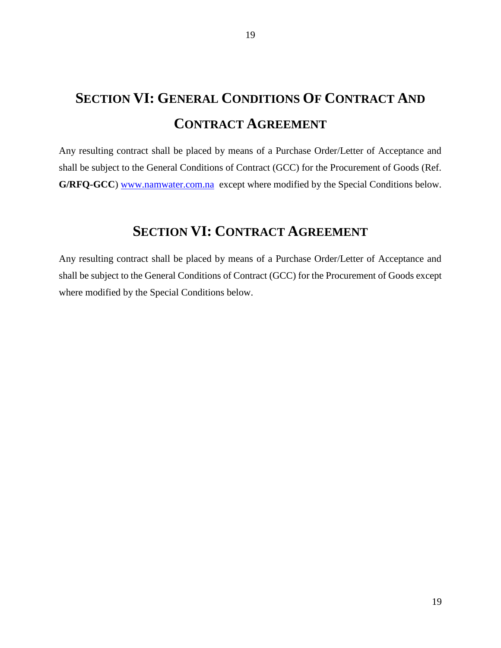# **SECTION VI: GENERAL CONDITIONS OF CONTRACT AND CONTRACT AGREEMENT**

Any resulting contract shall be placed by means of a Purchase Order/Letter of Acceptance and shall be subject to the General Conditions of Contract (GCC) for the Procurement of Goods (Ref. **G/RFQ-GCC**) [www.namwater.com.na](http://www.namwater.com.na/) except where modified by the Special Conditions below.

## **SECTION VI: CONTRACT AGREEMENT**

Any resulting contract shall be placed by means of a Purchase Order/Letter of Acceptance and shall be subject to the General Conditions of Contract (GCC) for the Procurement of Goods except where modified by the Special Conditions below.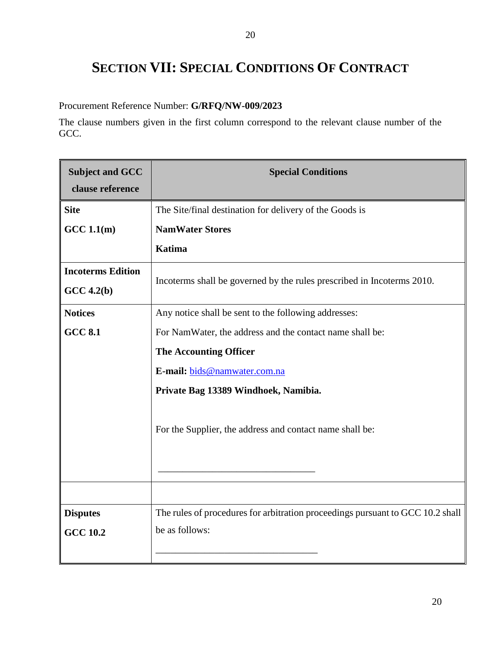# **SECTION VII: SPECIAL CONDITIONS OF CONTRACT**

Procurement Reference Number: **G/RFQ/NW-009/2023**

The clause numbers given in the first column correspond to the relevant clause number of the GCC.

| <b>Subject and GCC</b><br>clause reference | <b>Special Conditions</b>                                                      |
|--------------------------------------------|--------------------------------------------------------------------------------|
| <b>Site</b>                                | The Site/final destination for delivery of the Goods is                        |
| GCC 1.1(m)                                 | <b>NamWater Stores</b>                                                         |
|                                            | <b>Katima</b>                                                                  |
| <b>Incoterms Edition</b>                   | Incoterms shall be governed by the rules prescribed in Incoterms 2010.         |
| $GCC\ 4.2(b)$                              |                                                                                |
| <b>Notices</b>                             | Any notice shall be sent to the following addresses:                           |
| <b>GCC 8.1</b>                             | For NamWater, the address and the contact name shall be:                       |
|                                            | <b>The Accounting Officer</b>                                                  |
|                                            | E-mail: bids@namwater.com.na                                                   |
|                                            | Private Bag 13389 Windhoek, Namibia.                                           |
|                                            | For the Supplier, the address and contact name shall be:                       |
|                                            |                                                                                |
| <b>Disputes</b>                            | The rules of procedures for arbitration proceedings pursuant to GCC 10.2 shall |
| <b>GCC 10.2</b>                            | be as follows:                                                                 |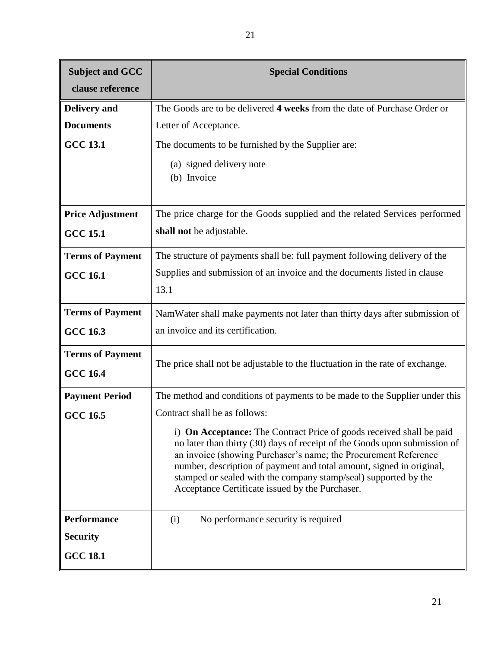| <b>Subject and GCC</b><br>clause reference | <b>Special Conditions</b>                                                                                                                                                                                                                                                                                                                                                                                          |
|--------------------------------------------|--------------------------------------------------------------------------------------------------------------------------------------------------------------------------------------------------------------------------------------------------------------------------------------------------------------------------------------------------------------------------------------------------------------------|
| <b>Delivery</b> and                        | The Goods are to be delivered 4 weeks from the date of Purchase Order or                                                                                                                                                                                                                                                                                                                                           |
| <b>Documents</b>                           | Letter of Acceptance.                                                                                                                                                                                                                                                                                                                                                                                              |
| <b>GCC 13.1</b>                            | The documents to be furnished by the Supplier are:                                                                                                                                                                                                                                                                                                                                                                 |
|                                            | (a) signed delivery note<br>(b) Invoice                                                                                                                                                                                                                                                                                                                                                                            |
| <b>Price Adjustment</b>                    | The price charge for the Goods supplied and the related Services performed                                                                                                                                                                                                                                                                                                                                         |
| <b>GCC 15.1</b>                            | shall not be adjustable.                                                                                                                                                                                                                                                                                                                                                                                           |
| <b>Terms of Payment</b>                    | The structure of payments shall be: full payment following delivery of the                                                                                                                                                                                                                                                                                                                                         |
| <b>GCC 16.1</b>                            | Supplies and submission of an invoice and the documents listed in clause<br>13.1                                                                                                                                                                                                                                                                                                                                   |
| <b>Terms of Payment</b>                    | NamWater shall make payments not later than thirty days after submission of                                                                                                                                                                                                                                                                                                                                        |
| <b>GCC 16.3</b>                            | an invoice and its certification.                                                                                                                                                                                                                                                                                                                                                                                  |
| <b>Terms of Payment</b><br><b>GCC 16.4</b> | The price shall not be adjustable to the fluctuation in the rate of exchange.                                                                                                                                                                                                                                                                                                                                      |
| <b>Payment Period</b>                      | The method and conditions of payments to be made to the Supplier under this                                                                                                                                                                                                                                                                                                                                        |
| <b>GCC 16.5</b>                            | Contract shall be as follows:                                                                                                                                                                                                                                                                                                                                                                                      |
|                                            | i) On Acceptance: The Contract Price of goods received shall be paid<br>no later than thirty (30) days of receipt of the Goods upon submission of<br>an invoice (showing Purchaser's name; the Procurement Reference<br>number, description of payment and total amount, signed in original,<br>stamped or sealed with the company stamp/seal) supported by the<br>Acceptance Certificate issued by the Purchaser. |
| <b>Performance</b>                         | No performance security is required<br>(i)                                                                                                                                                                                                                                                                                                                                                                         |
| <b>Security</b>                            |                                                                                                                                                                                                                                                                                                                                                                                                                    |
| <b>GCC 18.1</b>                            |                                                                                                                                                                                                                                                                                                                                                                                                                    |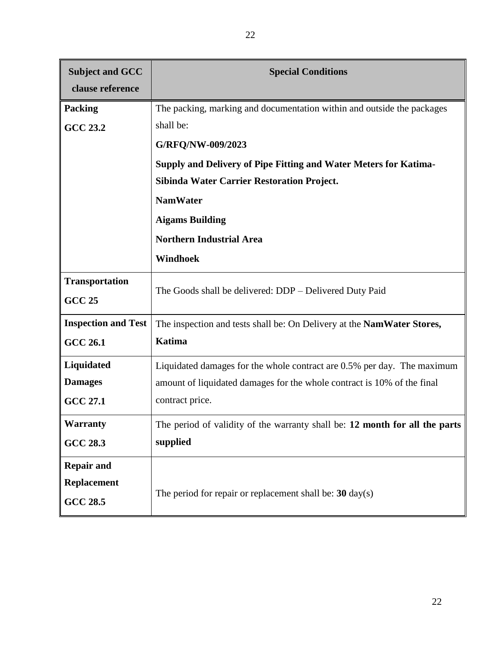| <b>Subject and GCC</b>     | <b>Special Conditions</b>                                                   |  |  |
|----------------------------|-----------------------------------------------------------------------------|--|--|
| clause reference           |                                                                             |  |  |
| <b>Packing</b>             | The packing, marking and documentation within and outside the packages      |  |  |
| <b>GCC 23.2</b>            | shall be:                                                                   |  |  |
|                            | G/RFQ/NW-009/2023                                                           |  |  |
|                            | Supply and Delivery of Pipe Fitting and Water Meters for Katima-            |  |  |
|                            | <b>Sibinda Water Carrier Restoration Project.</b>                           |  |  |
|                            | <b>NamWater</b>                                                             |  |  |
|                            | <b>Aigams Building</b>                                                      |  |  |
|                            | <b>Northern Industrial Area</b>                                             |  |  |
|                            | Windhoek                                                                    |  |  |
| <b>Transportation</b>      |                                                                             |  |  |
| <b>GCC 25</b>              | The Goods shall be delivered: DDP - Delivered Duty Paid                     |  |  |
| <b>Inspection and Test</b> | The inspection and tests shall be: On Delivery at the NamWater Stores,      |  |  |
| <b>GCC 26.1</b>            | <b>Katima</b>                                                               |  |  |
| Liquidated                 | Liquidated damages for the whole contract are 0.5% per day. The maximum     |  |  |
| <b>Damages</b>             | amount of liquidated damages for the whole contract is 10% of the final     |  |  |
| <b>GCC 27.1</b>            | contract price.                                                             |  |  |
| Warranty                   | The period of validity of the warranty shall be: 12 month for all the parts |  |  |
| <b>GCC 28.3</b>            | supplied                                                                    |  |  |
| <b>Repair and</b>          |                                                                             |  |  |
| <b>Replacement</b>         |                                                                             |  |  |
| <b>GCC 28.5</b>            | The period for repair or replacement shall be: $30 \text{ day}(s)$          |  |  |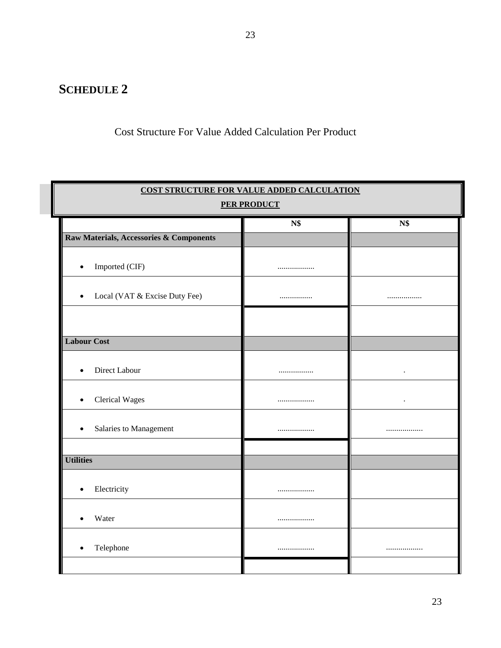# **SCHEDULE 2**

## Cost Structure For Value Added Calculation Per Product

| COST STRUCTURE FOR VALUE ADDED CALCULATION         |     |           |  |  |  |
|----------------------------------------------------|-----|-----------|--|--|--|
| <b>PER PRODUCT</b>                                 |     |           |  |  |  |
|                                                    | N\$ | N\$       |  |  |  |
| <b>Raw Materials, Accessories &amp; Components</b> |     |           |  |  |  |
| Imported (CIF)<br>$\bullet$                        |     |           |  |  |  |
| Local (VAT & Excise Duty Fee)<br>$\bullet$         |     |           |  |  |  |
|                                                    |     |           |  |  |  |
| <b>Labour Cost</b>                                 |     |           |  |  |  |
| Direct Labour<br>$\bullet$                         |     | $\bullet$ |  |  |  |
| <b>Clerical Wages</b><br>$\bullet$                 |     | $\bullet$ |  |  |  |
| Salaries to Management<br>$\bullet$                |     |           |  |  |  |
|                                                    |     |           |  |  |  |
| <b>Utilities</b>                                   |     |           |  |  |  |
| Electricity<br>$\bullet$                           |     |           |  |  |  |
| Water                                              |     |           |  |  |  |
| Telephone<br>$\bullet$                             |     | .         |  |  |  |
|                                                    |     |           |  |  |  |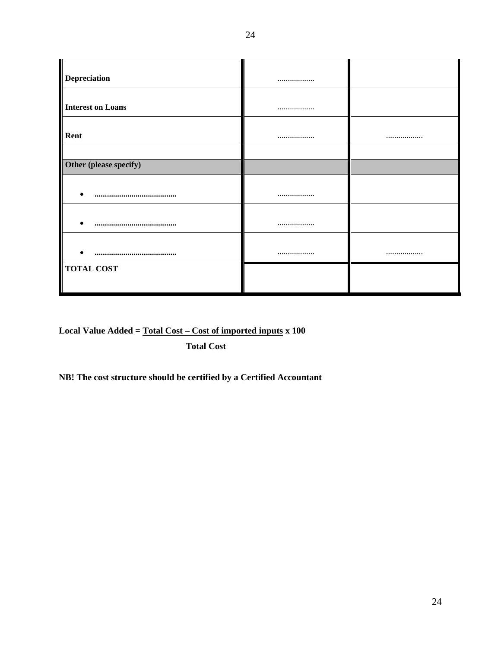| <b>Depreciation</b>      |      |
|--------------------------|------|
|                          |      |
|                          |      |
| <b>Interest on Loans</b> |      |
|                          |      |
| Rent                     | <br> |
|                          |      |
| Other (please specify)   |      |
|                          |      |
|                          |      |
|                          |      |
|                          |      |
|                          |      |
|                          | <br> |
| <b>TOTAL COST</b>        |      |
|                          |      |
|                          |      |

**Local Value Added = Total Cost – Cost of imported inputs x 100**

 **Total Cost**

**NB! The cost structure should be certified by a Certified Accountant**